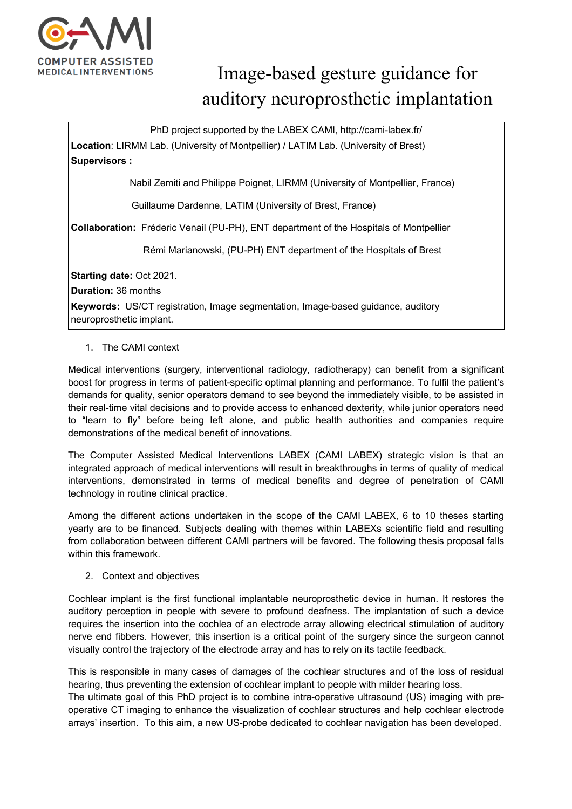

# Image-based gesture guidance for auditory neuroprosthetic implantation

PhD project supported by the LABEX CAMI, http://cami-labex.fr/

**Location**: LIRMM Lab. (University of Montpellier) / LATIM Lab. (University of Brest) **Supervisors :**

Nabil Zemiti and Philippe Poignet, LIRMM (University of Montpellier, France)

Guillaume Dardenne, LATIM (University of Brest, France)

**Collaboration:** Fréderic Venail (PU-PH), ENT department of the Hospitals of Montpellier

Rémi Marianowski, (PU-PH) ENT department of the Hospitals of Brest

**Starting date:** Oct 2021.

**Duration:** 36 months

**Keywords:** US/CT registration, Image segmentation, Image-based guidance, auditory neuroprosthetic implant.

## 1. The CAMI context

Medical interventions (surgery, interventional radiology, radiotherapy) can benefit from a significant boost for progress in terms of patient-specific optimal planning and performance. To fulfil the patient's demands for quality, senior operators demand to see beyond the immediately visible, to be assisted in their real-time vital decisions and to provide access to enhanced dexterity, while junior operators need to "learn to fly" before being left alone, and public health authorities and companies require demonstrations of the medical benefit of innovations.

The Computer Assisted Medical Interventions LABEX (CAMI LABEX) strategic vision is that an integrated approach of medical interventions will result in breakthroughs in terms of quality of medical interventions, demonstrated in terms of medical benefits and degree of penetration of CAMI technology in routine clinical practice.

Among the different actions undertaken in the scope of the CAMI LABEX, 6 to 10 theses starting yearly are to be financed. Subjects dealing with themes within LABEXs scientific field and resulting from collaboration between different CAMI partners will be favored. The following thesis proposal falls within this framework

## 2. Context and objectives

Cochlear implant is the first functional implantable neuroprosthetic device in human. It restores the auditory perception in people with severe to profound deafness. The implantation of such a device requires the insertion into the cochlea of an electrode array allowing electrical stimulation of auditory nerve end fibbers. However, this insertion is a critical point of the surgery since the surgeon cannot visually control the trajectory of the electrode array and has to rely on its tactile feedback.

This is responsible in many cases of damages of the cochlear structures and of the loss of residual hearing, thus preventing the extension of cochlear implant to people with milder hearing loss.

The ultimate goal of this PhD project is to combine intra-operative ultrasound (US) imaging with preoperative CT imaging to enhance the visualization of cochlear structures and help cochlear electrode arrays' insertion. To this aim, a new US-probe dedicated to cochlear navigation has been developed.